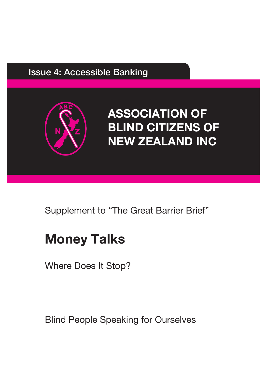#### Issue 4: Accessible Banking



# **ASSOCIATION OF BLIND CITIZENS OF NEW ZEALAND INC**

### Supplement to "The Great Barrier Brief"

# **Money Talks**

Where Does It Stop?

Blind People Speaking for Ourselves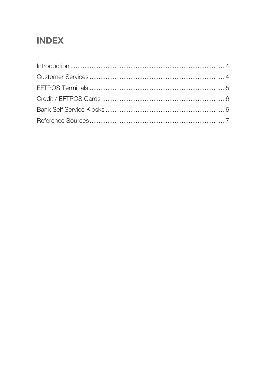### **INDEX**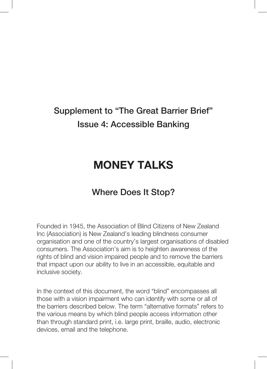## Supplement to "The Great Barrier Brief" Issue 4: Accessible Banking

## **MONEY TALKS**

#### Where Does It Stop?

Founded in 1945, the Association of Blind Citizens of New Zealand Inc (Association) is New Zealand's leading blindness consumer organisation and one of the country's largest organisations of disabled consumers. The Association's aim is to heighten awareness of the rights of blind and vision impaired people and to remove the barriers that impact upon our ability to live in an accessible, equitable and inclusive society.

In the context of this document, the word "blind" encompasses all those with a vision impairment who can identify with some or all of the barriers described below. The term "alternative formats" refers to the various means by which blind people access information other than through standard print, i.e. large print, braille, audio, electronic devices, email and the telephone.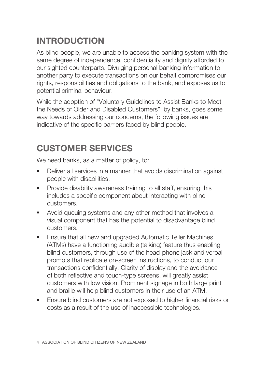### **INTRODUCTION**

As blind people, we are unable to access the banking system with the same degree of independence, confidentiality and dignity afforded to our sighted counterparts. Divulging personal banking information to another party to execute transactions on our behalf compromises our rights, responsibilities and obligations to the bank, and exposes us to potential criminal behaviour.

While the adoption of "Voluntary Guidelines to Assist Banks to Meet the Needs of Older and Disabled Customers", by banks, goes some way towards addressing our concerns, the following issues are indicative of the specific barriers faced by blind people.

#### **CUSTOMER SERVICES**

We need banks, as a matter of policy, to:

- Deliver all services in a manner that avoids discrimination against people with disabilities.
- **Provide disability awareness training to all staff, ensuring this** includes a specific component about interacting with blind customers.
- Avoid queuing systems and any other method that involves a visual component that has the potential to disadvantage blind customers.
- **Ensure that all new and upgraded Automatic Teller Machines** (ATMs) have a functioning audible (talking) feature thus enabling blind customers, through use of the head-phone jack and verbal prompts that replicate on-screen instructions, to conduct our transactions confidentially. Clarity of display and the avoidance of both reflective and touch-type screens, will greatly assist customers with low vision. Prominent signage in both large print and braille will help blind customers in their use of an ATM.
- Ensure blind customers are not exposed to higher financial risks or costs as a result of the use of inaccessible technologies.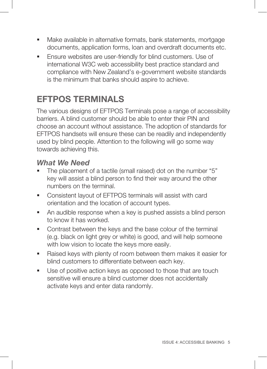- Make available in alternative formats, bank statements, mortgage documents, application forms, loan and overdraft documents etc.
- **Ensure websites are user-friendly for blind customers. Use of** international W3C web accessibility best practice standard and compliance with New Zealand's e-government website standards is the minimum that banks should aspire to achieve.

### **EFTPOS TERMINALS**

The various designs of EFTPOS Terminals pose a range of accessibility barriers. A blind customer should be able to enter their PIN and choose an account without assistance. The adoption of standards for EFTPOS handsets will ensure these can be readily and independently used by blind people. Attention to the following will go some way towards achieving this.

#### *What We Need*

- The placement of a tactile (small raised) dot on the number "5" key will assist a blind person to find their way around the other numbers on the terminal.
- Consistent layout of EFTPOS terminals will assist with card orientation and the location of account types.
- An audible response when a key is pushed assists a blind person to know it has worked.
- **Contrast between the keys and the base colour of the terminal** (e.g. black on light grey or white) is good, and will help someone with low vision to locate the keys more easily.
- Raised keys with plenty of room between them makes it easier for blind customers to differentiate between each key.
- Use of positive action keys as opposed to those that are touch sensitive will ensure a blind customer does not accidentally activate keys and enter data randomly.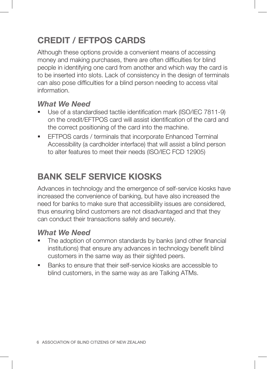### **CREDIT / EFTPOS CARDS**

Although these options provide a convenient means of accessing money and making purchases, there are often difficulties for blind people in identifying one card from another and which way the card is to be inserted into slots. Lack of consistency in the design of terminals can also pose difficulties for a blind person needing to access vital information.

#### *What We Need*

- Use of a standardised tactile identification mark (ISO/IEC 7811-9) on the credit/EFTPOS card will assist identification of the card and the correct positioning of the card into the machine.
- **EFTPOS cards / terminals that incorporate Enhanced Terminal** Accessibility (a cardholder interface) that will assist a blind person to alter features to meet their needs (ISO/IEC FCD 12905)

### **BANK SELF SERVICE KIOSKS**

Advances in technology and the emergence of self-service kiosks have increased the convenience of banking, but have also increased the need for banks to make sure that accessibility issues are considered, thus ensuring blind customers are not disadvantaged and that they can conduct their transactions safely and securely.

#### *What We Need*

- The adoption of common standards by banks (and other financial institutions) that ensure any advances in technology benefit blind customers in the same way as their sighted peers.
- Banks to ensure that their self-service kiosks are accessible to blind customers, in the same way as are Talking ATMs.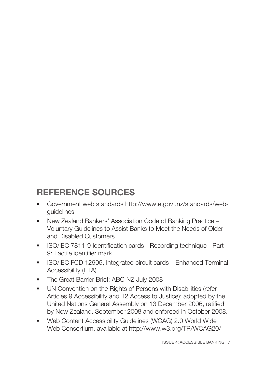#### **REFERENCE SOURCES**

- Government web standards http://www.e.govt.nz/standards/webguidelines
- New Zealand Bankers' Association Code of Banking Practice Voluntary Guidelines to Assist Banks to Meet the Needs of Older and Disabled Customers
- **ISO/IEC 7811-9 Identification cards Recording technique Part** 9: Tactile identifier mark
- **ISO/IEC FCD 12905, Integrated circuit cards Enhanced Terminal** Accessibility (ETA)
- The Great Barrier Brief: ABC NZ July 2008
- UN Convention on the Rights of Persons with Disabilities (refer Articles 9 Accessibility and 12 Access to Justice): adopted by the United Nations General Assembly on 13 December 2006, ratified by New Zealand, September 2008 and enforced in October 2008.
- Web Content Accessibility Guidelines (WCAG) 2.0 World Wide Web Consortium, available at http://www.w3.org/TR/WCAG20/